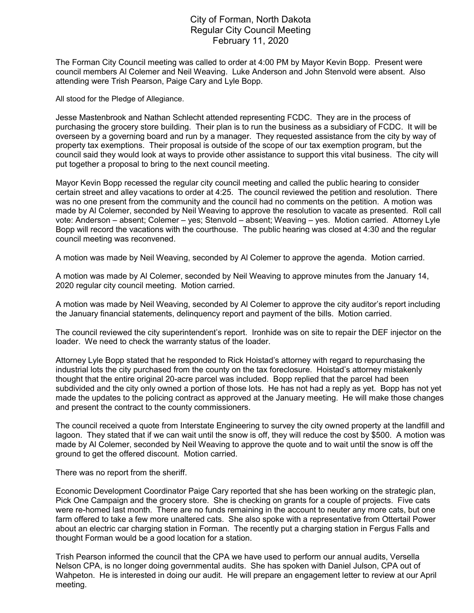## City of Forman, North Dakota Regular City Council Meeting February 11, 2020

The Forman City Council meeting was called to order at 4:00 PM by Mayor Kevin Bopp. Present were council members Al Colemer and Neil Weaving. Luke Anderson and John Stenvold were absent. Also attending were Trish Pearson, Paige Cary and Lyle Bopp.

All stood for the Pledge of Allegiance.

Jesse Mastenbrook and Nathan Schlecht attended representing FCDC. They are in the process of purchasing the grocery store building. Their plan is to run the business as a subsidiary of FCDC. It will be overseen by a governing board and run by a manager. They requested assistance from the city by way of property tax exemptions. Their proposal is outside of the scope of our tax exemption program, but the council said they would look at ways to provide other assistance to support this vital business. The city will put together a proposal to bring to the next council meeting.

Mayor Kevin Bopp recessed the regular city council meeting and called the public hearing to consider certain street and alley vacations to order at 4:25. The council reviewed the petition and resolution. There was no one present from the community and the council had no comments on the petition. A motion was made by Al Colemer, seconded by Neil Weaving to approve the resolution to vacate as presented. Roll call vote: Anderson – absent; Colemer – yes; Stenvold – absent; Weaving – yes. Motion carried. Attorney Lyle Bopp will record the vacations with the courthouse. The public hearing was closed at 4:30 and the regular council meeting was reconvened.

A motion was made by Neil Weaving, seconded by Al Colemer to approve the agenda. Motion carried.

A motion was made by Al Colemer, seconded by Neil Weaving to approve minutes from the January 14, 2020 regular city council meeting. Motion carried.

A motion was made by Neil Weaving, seconded by Al Colemer to approve the city auditor's report including the January financial statements, delinquency report and payment of the bills. Motion carried.

The council reviewed the city superintendent's report. Ironhide was on site to repair the DEF injector on the loader. We need to check the warranty status of the loader.

Attorney Lyle Bopp stated that he responded to Rick Hoistad's attorney with regard to repurchasing the industrial lots the city purchased from the county on the tax foreclosure. Hoistad's attorney mistakenly thought that the entire original 20-acre parcel was included. Bopp replied that the parcel had been subdivided and the city only owned a portion of those lots. He has not had a reply as yet. Bopp has not yet made the updates to the policing contract as approved at the January meeting. He will make those changes and present the contract to the county commissioners.

The council received a quote from Interstate Engineering to survey the city owned property at the landfill and lagoon. They stated that if we can wait until the snow is off, they will reduce the cost by \$500. A motion was made by Al Colemer, seconded by Neil Weaving to approve the quote and to wait until the snow is off the ground to get the offered discount. Motion carried.

There was no report from the sheriff.

Economic Development Coordinator Paige Cary reported that she has been working on the strategic plan, Pick One Campaign and the grocery store. She is checking on grants for a couple of projects. Five cats were re-homed last month. There are no funds remaining in the account to neuter any more cats, but one farm offered to take a few more unaltered cats. She also spoke with a representative from Ottertail Power about an electric car charging station in Forman. The recently put a charging station in Fergus Falls and thought Forman would be a good location for a station.

Trish Pearson informed the council that the CPA we have used to perform our annual audits, Versella Nelson CPA, is no longer doing governmental audits. She has spoken with Daniel Julson, CPA out of Wahpeton. He is interested in doing our audit. He will prepare an engagement letter to review at our April meeting.